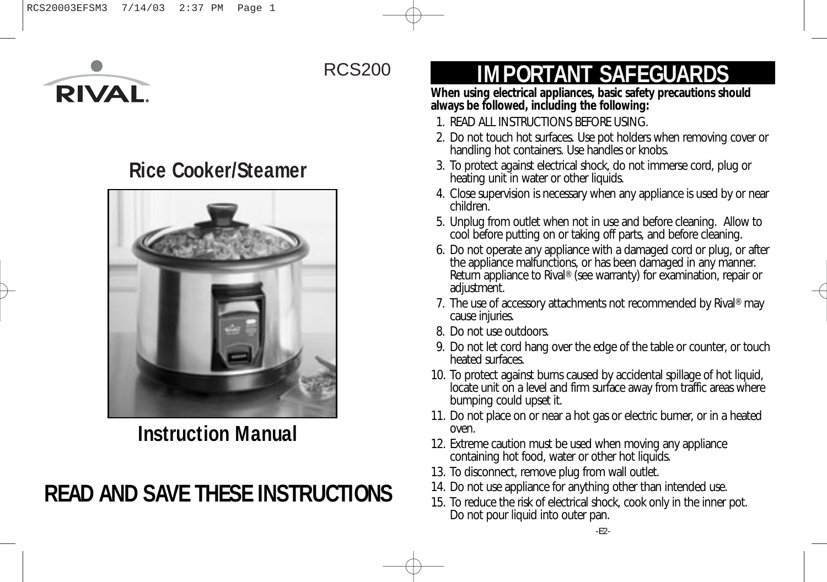

# RCS200

# **Rice Cooker/Steamer**



**Instruction Manual**

# **READ AND SAVE THESE INSTRUCTIONS**

# **IMPORTANT SAFEGUARDS**

**When using electrical appliances, basic safety precautions should always be followed, including the following:** 

- 1. READ ALL INSTRUCTIONS BEFORE USING.
- 2. Do not touch hot surfaces. Use pot holders when removing cover or handling hot containers. Use handles or knobs.
- 3. To protect against electrical shock, do not immerse cord, plug or heating unit in water or other liquids.
- 4. Close supervision is necessary when any appliance is used by or near children.
- 5. Unplug from outlet when not in use and before cleaning. Allow to cool before putting on or taking off parts, and before cleaning.
- 6. Do not operate any appliance with a damaged cord or plug, or after the appliance malfunctions, or has been damaged in any manner. Return appliance to Rival<sup>®</sup> (see warranty) for examination, repair or adjustment.
- 7. The use of accessory attachments not recommended by Rival® may cause injuries.
- 8. Do not use outdoors.
- 9. Do not let cord hang over the edge of the table or counter, or touch heated surfaces.
- 10. To protect against burns caused by accidental spillage of hot liquid, locate unit on a level and firm surface away from traffic areas where bumping could upset it.
- 11. Do not place on or near a hot gas or electric burner, or in a heated oven.
- 12. Extreme caution must be used when moving any appliance containing hot food, water or other hot liquids.
- 13. To disconnect, remove plug from wall outlet.
- 14. Do not use appliance for anything other than intended use.
- 15. To reduce the risk of electrical shock, cook only in the inner pot. Do not pour liquid into outer pan.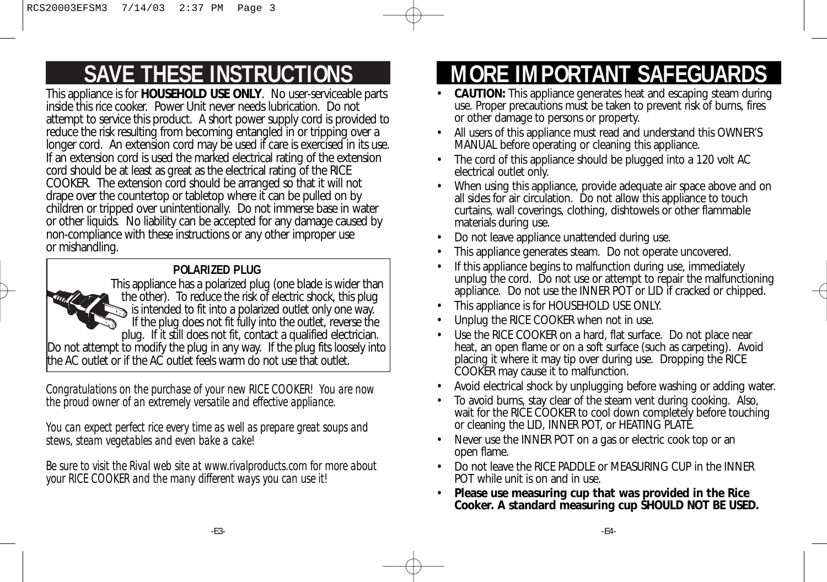# **SAVE THESE INSTRUCTIONS**

This appliance is for **HOUSEHOLD USE ONLY**. No user-serviceable parts inside this rice cooker. Power Unit never needs lubrication. Do not attempt to service this product. A short power supply cord is provided to reduce the risk resulting from becoming entangled in or tripping over a longer cord. An extension cord may be used if care is exercised in its use. If an extension cord is used the marked electrical rating of the extension cord should be at least as great as the electrical rating of the RICE COOKER. The extension cord should be arranged so that it will not drape over the countertop or tabletop where it can be pulled on by children or tripped over unintentionally. Do not immerse base in water or other liquids. No liability can be accepted for any damage caused by non-compliance with these instructions or any other improper use or mishandling.

## **POLARIZED PLUG**



*Congratulations on the purchase of your new RICE COOKER! You are now the proud owner of an extremely versatile and effective appliance.*

*You can expect perfect rice every time as well as prepare great soups and stews, steam vegetables and even bake a cake!*

*Be sure to visit the Rival web site at www.rivalproducts.com for more about your RICE COOKER and the many different ways you can use it!*

# **MORE IMPORTANT SAFEGUARI**

- **CAUTION:** This appliance generates heat and escaping steam during use. Proper precautions must be taken to prevent risk of burns, fires or other damage to persons or property.
- All users of this appliance must read and understand this OWNER'S MANUAL before operating or cleaning this appliance.
- The cord of this appliance should be plugged into a 120 volt AC electrical outlet only.
- When using this appliance, provide adequate air space above and on all sides for air circulation. Do not allow this appliance to touch curtains, wall coverings, clothing, dishtowels or other flammable materials during use.
- Do not leave appliance unattended during use.
- This appliance generates steam. Do not operate uncovered.
- If this appliance begins to malfunction during use, immediately unplug the cord. Do not use or attempt to repair the malfunctioning appliance. Do not use the INNER POT or LID if cracked or chipped.
- This appliance is for HOUSEHOLD USE ONLY.
- Unplug the RICE COOKER when not in use.
- Use the RICE COOKER on a hard, flat surface. Do not place near heat, an open flame or on a soft surface (such as carpeting). Avoid placing it where it may tip over during use. Dropping the RICE COOKER may cause it to malfunction.
- Avoid electrical shock by unplugging before washing or adding water.
- To avoid burns, stay clear of the steam vent during cooking. Also, wait for the RICE COOKER to cool down completely before touching or cleaning the LID, INNER POT, or HEATING PLATE.
- Never use the INNER POT on a gas or electric cook top or an open flame.
- Do not leave the RICE PADDLE or MEASURING CUP in the INNER POT while unit is on and in use.
- **Please use measuring cup that was provided in the Rice Cooker. A standard measuring cup SHOULD NOT BE USED.**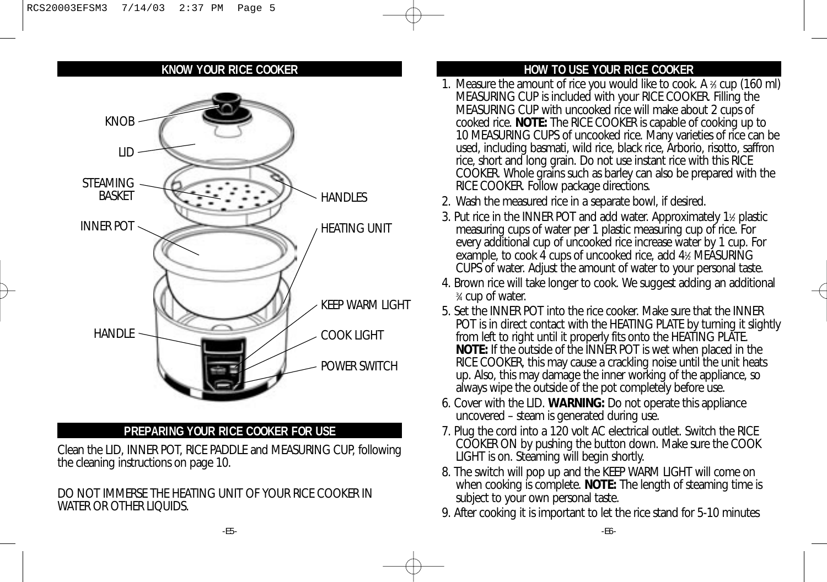#### **KNOW YOUR RICE COOKER**



### **PREPARING YOUR RICE COOKER FOR USE**

Clean the LID, INNER POT, RICE PADDLE and MEASURING CUP, following the cleaning instructions on page 10.

#### DO NOT IMMERSE THE HEATING UNIT OF YOUR RICE COOKER IN WATER OR OTHER LIQUIDS.

## **HOW TO USE YOUR RICE COOKER**

- 1. Measure the amount of rice you would like to cook. A  $\frac{2}{3}$  cup (160 ml) MEASURING CUP is included with your RICE COOKER. Filling the MEASURING CUP with uncooked rice will make about 2 cups of cooked rice. **NOTE:** The RICE COOKER is capable of cooking up to 10 MEASURING CUPS of uncooked rice. Many varieties of rice can be used, including basmati, wild rice, black rice, Arborio, risotto, saffron rice, short and long grain. Do not use instant rice with this RICE COOKER. Whole grains such as barley can also be prepared with the RICE COOKER. Follow package directions.
- 2. Wash the measured rice in a separate bowl, if desired.
- 3. Put rice in the INNER POT and add water. Approximately 1½ plastic measuring cups of water per 1 plastic measuring cup of rice. For every additional cup of uncooked rice increase water by 1 cup. For example, to cook 4 cups of uncooked rice, add 41 ⁄2 MEASURING CUPS of water. Adjust the amount of water to your personal taste.
- 4. Brown rice will take longer to cook. We suggest adding an additional 3 ⁄4 cup of water.
- 5. Set the INNER POT into the rice cooker. Make sure that the INNER POT is in direct contact with the HEATING PLATE by turning it slightly from left to right until it properly fits onto the HEATING PLATE. **NOTE:** If the outside of the INNER POT is wet when placed in the RICE COOKER, this may cause a crackling noise until the unit heats up. Also, this may damage the inner working of the appliance, so always wipe the outside of the pot completely before use.
- 6. Cover with the LID. **WARNING:** Do not operate this appliance uncovered – steam is generated during use.
- 7. Plug the cord into a 120 volt AC electrical outlet. Switch the RICE COOKER ON by pushing the button down. Make sure the COOK LIGHT is on. Steaming will begin shortly.
- 8. The switch will pop up and the KEEP WARM LIGHT will come on when cooking is complete. **NOTE:** The length of steaming time is subject to your own personal taste.
- 9. After cooking it is important to let the rice stand for 5-10 minutes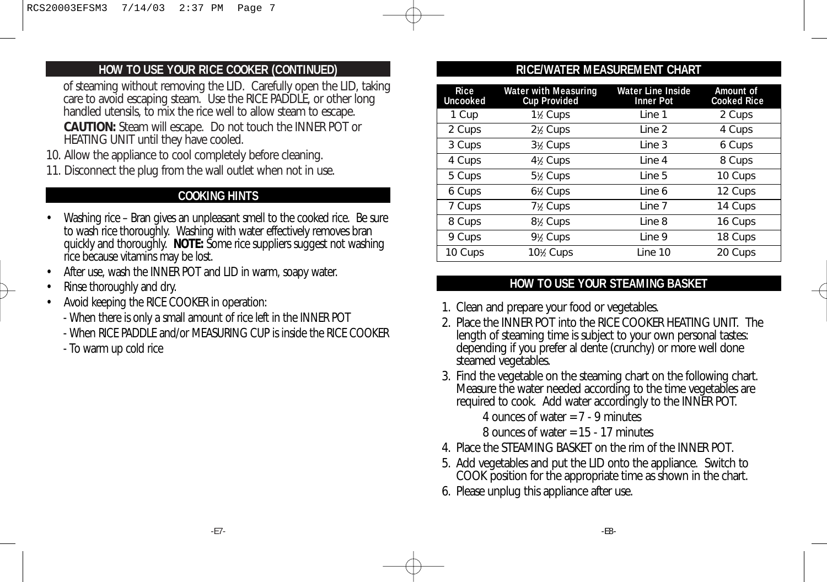### **HOW TO USE YOUR RICE COOKER (CONTINUED)**

of steaming without removing the LID. Carefully open the LID, taking care to avoid escaping steam. Use the RICE PADDLE, or other long handled utensils, to mix the rice well to allow steam to escape.

**CAUTION:** Steam will escape. Do not touch the INNER POT or HEATING UNIT until they have cooled.

- 10. Allow the appliance to cool completely before cleaning.
- 11. Disconnect the plug from the wall outlet when not in use.

### **COOKING HINTS**

- Washing rice Bran gives an unpleasant smell to the cooked rice. Be sure to wash rice thoroughly. Washing with water effectively removes bran quickly and thoroughly. **NOTE:** Some rice suppliers suggest not washing rice because vitamins may be lost.
- After use, wash the INNER POT and LID in warm, soapy water.
- Rinse thoroughly and dry.
- Avoid keeping the RICE COOKER in operation:
	- When there is only a small amount of rice left in the INNER POT
	- When RICE PADDLE and/or MEASURING CUP is inside the RICE COOKER
	- To warm up cold rice

### **RICE/WATER MEASUREMENT CHART**

| <b>Rice</b><br><b>Uncooked</b> | <b>Water with Measuring</b><br><b>Cup Provided</b> | <b>Water Line Inside</b><br><b>Inner Pot</b> | Amount of<br><b>Cooked Rice</b> |
|--------------------------------|----------------------------------------------------|----------------------------------------------|---------------------------------|
| 1 Cup                          | 1 <sup>1</sup> / <sub>2</sub> Cups                 | Line 1                                       | 2 Cups                          |
| 2 Cups                         | $2\frac{1}{2}$ Cups                                | Line 2                                       | 4 Cups                          |
| 3 Cups                         | $3\frac{1}{2}$ Cups                                | Line 3                                       | 6 Cups                          |
| 4 Cups                         | $4\frac{1}{2}$ Cups                                | Line 4                                       | 8 Cups                          |
| 5 Cups                         | $5\frac{1}{2}$ Cups                                | Line 5                                       | 10 Cups                         |
| 6 Cups                         | $6\frac{1}{6}$ Cups                                | Line 6                                       | 12 Cups                         |
| 7 Cups                         | $7\frac{1}{6}$ Cups                                | Line 7                                       | 14 Cups                         |
| 8 Cups                         | $8\frac{1}{2}$ Cups                                | Line 8                                       | 16 Cups                         |
| 9 Cups                         | $9\frac{1}{2}$ Cups                                | Line 9                                       | 18 Cups                         |
| 10 Cups                        | 10% Cups                                           | Line 10                                      | 20 Cups                         |

### **HOW TO USE YOUR STEAMING BASKET**

- 1. Clean and prepare your food or vegetables.
- 2. Place the INNER POT into the RICE COOKER HEATING UNIT. The length of steaming time is subject to your own personal tastes: depending if you prefer al dente (crunchy) or more well done steamed vegetables.
- 3. Find the vegetable on the steaming chart on the following chart. Measure the water needed according to the time vegetables are required to cook. Add water accordingly to the INNER POT.

4 ounces of water  $= 7 - 9$  minutes

8 ounces of water  $= 15 - 17$  minutes

- 4. Place the STEAMING BASKET on the rim of the INNER POT.
- 5. Add vegetables and put the LID onto the appliance. Switch to COOK position for the appropriate time as shown in the chart.
- 6. Please unplug this appliance after use.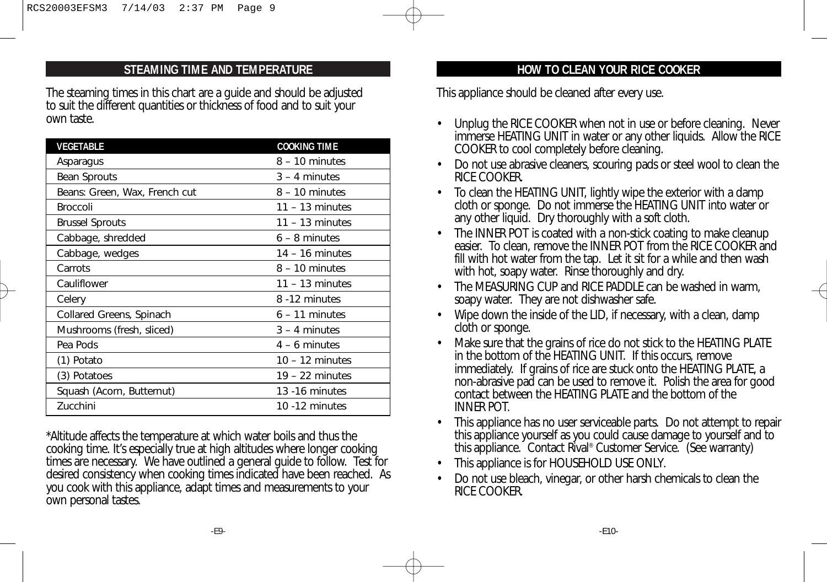### **STEAMING TIME AND TEMPERATURE**

The steaming times in this chart are a guide and should be adjusted to suit the different quantities or thickness of food and to suit your own taste.

| VEGETABLE                     | <b>COOKING TIME</b> |  |
|-------------------------------|---------------------|--|
| Asparagus                     | $8 - 10$ minutes    |  |
| <b>Bean Sprouts</b>           | $3 - 4$ minutes     |  |
| Beans: Green, Wax, French cut | $8 - 10$ minutes    |  |
| <b>Broccoli</b>               | $11 - 13$ minutes   |  |
| <b>Brussel Sprouts</b>        | $11 - 13$ minutes   |  |
| Cabbage, shredded             | $6 - 8$ minutes     |  |
| Cabbage, wedges               | $14 - 16$ minutes   |  |
| Carrots                       | $8 - 10$ minutes    |  |
| Cauliflower                   | $11 - 13$ minutes   |  |
| Celery                        | 8 -12 minutes       |  |
| Collared Greens, Spinach      | $6 - 11$ minutes    |  |
| Mushrooms (fresh, sliced)     | $3 - 4$ minutes     |  |
| Pea Pods                      | $4 - 6$ minutes     |  |
| (1) Potato                    | $10 - 12$ minutes   |  |
| (3) Potatoes                  | $19 - 22$ minutes   |  |
| Squash (Acorn, Butternut)     | 13 -16 minutes      |  |
| Zucchini                      | 10 -12 minutes      |  |

\*Altitude affects the temperature at which water boils and thus the cooking time. It's especially true at high altitudes where longer cooking times are necessary. We have outlined a general guide to follow. Test for desired consistency when cooking times indicated have been reached. As you cook with this appliance, adapt times and measurements to your own personal tastes.

### **HOW TO CLEAN YOUR RICE COOKER**

This appliance should be cleaned after every use.

- Unplug the RICE COOKER when not in use or before cleaning. Never immerse HEATING UNIT in water or any other liquids. Allow the RICE COOKER to cool completely before cleaning.
- Do not use abrasive cleaners, scouring pads or steel wool to clean the RICE COOKER.
- To clean the HEATING UNIT, lightly wipe the exterior with a damp cloth or sponge. Do not immerse the HEATING UNIT into water or any other liquid. Dry thoroughly with a soft cloth.
- The INNER POT is coated with a non-stick coating to make cleanup easier. To clean, remove the INNER POT from the RICE COOKER and fill with hot water from the tap. Let it sit for a while and then wash with hot, soapy water. Rinse thoroughly and dry.
- The MEASURING CUP and RICE PADDLE can be washed in warm, soapy water. They are not dishwasher safe.
- Wipe down the inside of the LID, if necessary, with a clean, damp cloth or sponge.
- Make sure that the grains of rice do not stick to the HEATING PLATE in the bottom of the HEATING UNIT. If this occurs, remove immediately. If grains of rice are stuck onto the HEATING PLATE, a non-abrasive pad can be used to remove it. Polish the area for good contact between the HEATING PLATE and the bottom of the INNER POT.
- This appliance has no user serviceable parts. Do not attempt to repair this appliance yourself as you could cause damage to yourself and to this appliance. Contact Rival® Customer Service. (See warranty)
- This appliance is for HOUSEHOLD USE ONLY.
- Do not use bleach, vinegar, or other harsh chemicals to clean the RICE COOKER.